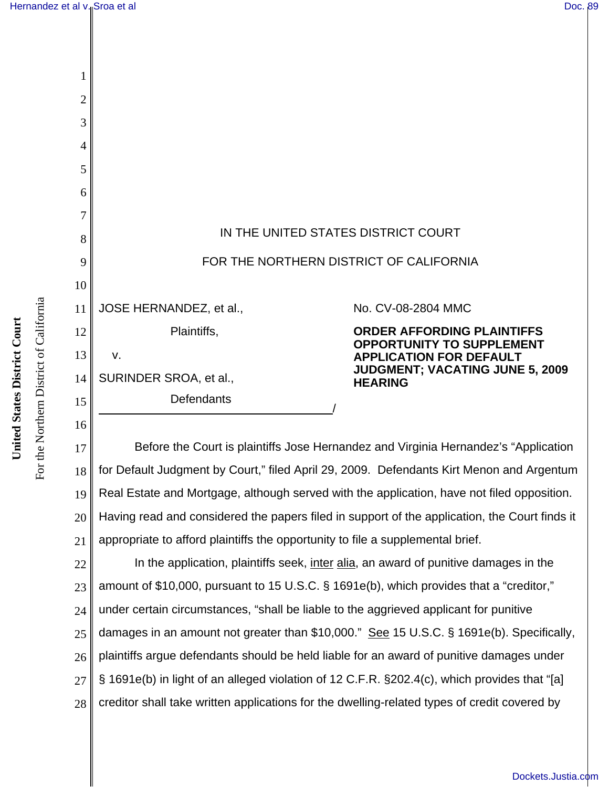| $\overline{2}$ |                                         |                                                                    |
|----------------|-----------------------------------------|--------------------------------------------------------------------|
| 3              |                                         |                                                                    |
| 4              |                                         |                                                                    |
| 5              |                                         |                                                                    |
| 6              |                                         |                                                                    |
|                |                                         |                                                                    |
| 8              | IN THE UNITED STATES DISTRICT COURT     |                                                                    |
| 9              | FOR THE NORTHERN DISTRICT OF CALIFORNIA |                                                                    |
| 10             |                                         |                                                                    |
| 11             | JOSE HERNANDEZ, et al.,                 | No. CV-08-2804 MMC                                                 |
| 12             | Plaintiffs,                             | <b>ORDER AFFORDING PLAINTIFFS</b>                                  |
| 13             | v.                                      | <b>OPPORTUNITY TO SUPPLEMENT</b><br><b>APPLICATION FOR DEFAULT</b> |
| 14             | SURINDER SROA, et al.,                  | <b>JUDGMENT; VACATING JUNE 5, 2</b><br><b>HEARING</b>              |
| 15             | Defendants                              |                                                                    |
|                |                                         |                                                                    |

17 18 19 20 21 Before the Court is plaintiffs Jose Hernandez and Virginia Hernandez's "Application for Default Judgment by Court," filed April 29, 2009. Defendants Kirt Menon and Argentum Real Estate and Mortgage, although served with the application, have not filed opposition. Having read and considered the papers filed in support of the application, the Court finds it appropriate to afford plaintiffs the opportunity to file a supplemental brief.

22 23 24 25 26 27 28 In the application, plaintiffs seek, inter alia, an award of punitive damages in the amount of \$10,000, pursuant to 15 U.S.C. § 1691e(b), which provides that a "creditor," under certain circumstances, "shall be liable to the aggrieved applicant for punitive damages in an amount not greater than \$10,000." See 15 U.S.C. § 1691e(b). Specifically, plaintiffs argue defendants should be held liable for an award of punitive damages under § 1691e(b) in light of an alleged violation of 12 C.F.R. §202.4(c), which provides that "[a] creditor shall take written applications for the dwelling-related types of credit covered by

For the Northern District of California

For the Northern District of California

16

**JUDGMENT; VACATING JUNE 5, 2009**